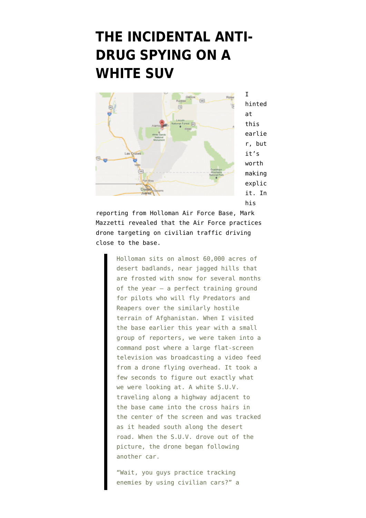## **[THE INCIDENTAL ANTI-](https://www.emptywheel.net/2012/07/06/the-incidental-anti-drug-spying-on-a-white-suv/)[DRUG SPYING ON A](https://www.emptywheel.net/2012/07/06/the-incidental-anti-drug-spying-on-a-white-suv/) [WHITE SUV](https://www.emptywheel.net/2012/07/06/the-incidental-anti-drug-spying-on-a-white-suv/)**



hinted at this earlie r, but it's worth making explic it. In his

[reporting](https://www.nytimes.com/2012/07/08/magazine/the-drone-zone.html?_r=2&pagewanted=all) from Holloman Air Force Base, Mark Mazzetti revealed that the Air Force practices drone targeting on civilian traffic driving close to the base.

> Holloman sits on almost 60,000 acres of desert badlands, near jagged hills that are frosted with snow for several months of the year — a perfect training ground for pilots who will fly Predators and Reapers over the similarly hostile terrain of Afghanistan. When I visited the base earlier this year with a small group of reporters, we were taken into a command post where a large flat-screen television was broadcasting a video feed from a drone flying overhead. It took a few seconds to figure out exactly what we were looking at. A white S.U.V. traveling along a highway adjacent to the base came into the cross hairs in the center of the screen and was tracked as it headed south along the desert road. When the S.U.V. drove out of the picture, the drone began following another car.

"Wait, you guys practice tracking enemies by using civilian cars?" a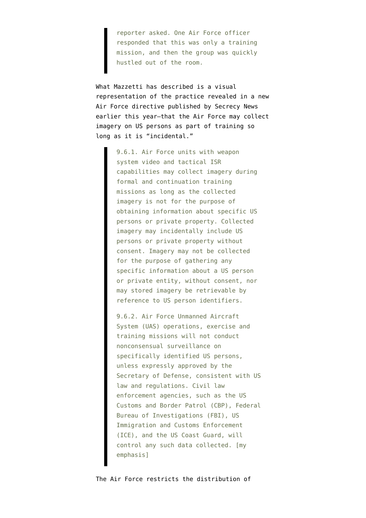reporter asked. One Air Force officer responded that this was only a training mission, and then the group was quickly hustled out of the room.

What Mazzetti has described is a visual representation of the practice [revealed](http://www.emptywheel.net/2012/05/08/drone-oopsies-in-us-airpsace/) in a [new](https://www.fas.org/irp/doddir/usaf/afi14-104.pdf) [Air Force directive](https://www.fas.org/irp/doddir/usaf/afi14-104.pdf) [published by Secrecy News](https://www.fas.org/blog/secrecy/2012/05/usaf_drones.html) earlier this year–that the Air Force may collect imagery on US persons as part of training so long as it is "incidental."

> 9.6.1. Air Force units with weapon system video and tactical ISR capabilities may collect imagery during formal and continuation training missions as long as the collected imagery is not for the purpose of obtaining information about specific US persons or private property. Collected imagery may incidentally include US persons or private property without consent. Imagery may not be collected for the purpose of gathering any specific information about a US person or private entity, without consent, nor may stored imagery be retrievable by reference to US person identifiers.

9.6.2. Air Force Unmanned Aircraft System (UAS) operations, exercise and training missions will not conduct nonconsensual surveillance on specifically identified US persons, unless expressly approved by the Secretary of Defense, consistent with US law and regulations. Civil law enforcement agencies, such as the US Customs and Border Patrol (CBP), Federal Bureau of Investigations (FBI), US Immigration and Customs Enforcement (ICE), and the US Coast Guard, will control any such data collected. [my emphasis]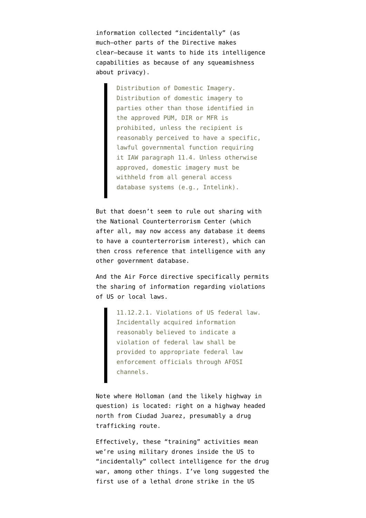information collected "incidentally" (as much–other parts of the Directive makes clear–because it wants to hide its intelligence capabilities as because of any squeamishness about privacy).

> Distribution of Domestic Imagery. Distribution of domestic imagery to parties other than those identified in the approved PUM, DIR or MFR is prohibited, unless the recipient is reasonably perceived to have a specific, lawful governmental function requiring it IAW paragraph 11.4. Unless otherwise approved, domestic imagery must be withheld from all general access database systems (e.g., Intelink).

But that doesn't seem to rule out sharing with the National Counterterrorism Center (which after all, [may now access any database](http://www.emptywheel.net/2012/03/23/the-national-counterterrorism-center-just-declared-all-of-us-domestic-terrorists/) it deems to have a counterterrorism interest), which can then cross reference that intelligence with any other government database.

And the Air Force directive specifically permits the sharing of information regarding violations of US or local laws.

11.12.2.1. Violations of US federal law. Incidentally acquired information reasonably believed to indicate a violation of federal law shall be provided to appropriate federal law enforcement officials through AFOSI channels.

Note where Holloman (and the likely highway in question) is located: right on a highway headed north from Ciudad Juarez, presumably a drug trafficking route.

Effectively, these "training" activities mean we're using military drones inside the US to "incidentally" collect intelligence for the drug war, among other things. I've long suggested the first use of a lethal drone strike in the US